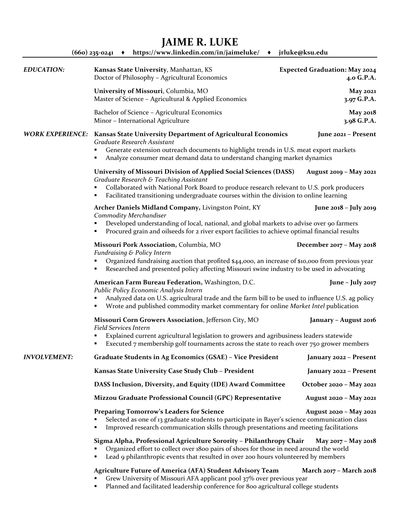## **JAIME R. LUKE**

|                         | (660) 235-0241 → https://www.linkedin.com/in/jaimeluke/                                                                                                                                                                                                                                                                      | jrluke@ksu.edu                                     |  |
|-------------------------|------------------------------------------------------------------------------------------------------------------------------------------------------------------------------------------------------------------------------------------------------------------------------------------------------------------------------|----------------------------------------------------|--|
| <b>EDUCATION:</b>       | Kansas State University, Manhattan, KS<br>Doctor of Philosophy - Agricultural Economics                                                                                                                                                                                                                                      | <b>Expected Graduation: May 2024</b><br>4.0 G.P.A. |  |
|                         | University of Missouri, Columbia, MO<br>Master of Science - Agricultural & Applied Economics                                                                                                                                                                                                                                 | <b>May 2021</b><br>3.97 G.P.A.                     |  |
|                         | Bachelor of Science - Agricultural Economics<br>Minor - International Agriculture                                                                                                                                                                                                                                            | <b>May 2018</b><br>3.98 G.P.A.                     |  |
| <b>WORK EXPERIENCE:</b> | Kansas State University Department of Agricultural Economics<br>June 2021 - Present<br>Graduate Research Assistant<br>Generate extension outreach documents to highlight trends in U.S. meat export markets<br>٠<br>Analyze consumer meat demand data to understand changing market dynamics<br>٠                            |                                                    |  |
|                         | University of Missouri Division of Applied Social Sciences (DASS)<br>August 2019 - May 2021<br>Graduate Research & Teaching Assistant<br>Collaborated with National Pork Board to produce research relevant to U.S. pork producers<br>Facilitated transitioning undergraduate courses within the division to online learning |                                                    |  |
|                         | Archer Daniels Midland Company, Livingston Point, KY<br>Commodity Merchandiser<br>Developed understanding of local, national, and global markets to advise over 90 farmers<br>Procured grain and oilseeds for 2 river export facilities to achieve optimal financial results<br>٠                                            | June 2018 - July 2019                              |  |
|                         | Missouri Pork Association, Columbia, MO<br>December 2017 - May 2018<br>Fundraising & Policy Intern<br>Organized fundraising auction that profited \$44,000, an increase of \$10,000 from previous year<br>٠<br>Researched and presented policy affecting Missouri swine industry to be used in advocating<br>٠               |                                                    |  |
|                         | American Farm Bureau Federation, Washington, D.C.<br>June – July 2017<br>Public Policy Economic Analysis Intern<br>Analyzed data on U.S. agricultural trade and the farm bill to be used to influence U.S. ag policy<br>Wrote and published commodity market commentary for online Market Intel publication                  |                                                    |  |
|                         | Missouri Corn Growers Association, Jefferson City, MO<br>January - August 2016<br><b>Field Services Intern</b><br>Explained current agricultural legislation to growers and agribusiness leaders statewide<br>Executed 7 membership golf tournaments across the state to reach over 750 grower members                       |                                                    |  |
| <b>INVOLVEMENT:</b>     | <b>Graduate Students in Ag Economics (GSAE) - Vice President</b>                                                                                                                                                                                                                                                             | January 2022 - Present                             |  |
|                         | Kansas State University Case Study Club - President                                                                                                                                                                                                                                                                          | January 2022 - Present                             |  |
|                         | DASS Inclusion, Diversity, and Equity (IDE) Award Committee                                                                                                                                                                                                                                                                  | October 2020 - May 2021                            |  |
|                         | Mizzou Graduate Professional Council (GPC) Representative                                                                                                                                                                                                                                                                    | August 2020 - May 2021                             |  |
|                         | <b>Preparing Tomorrow's Leaders for Science</b><br>August 2020 - May 2021<br>Selected as one of 13 graduate students to participate in Bayer's science communication class<br>Improved research communication skills through presentations and meeting facilitations                                                         |                                                    |  |
|                         | Sigma Alpha, Professional Agriculture Sorority - Philanthropy Chair<br>May 2017 - May 2018<br>Organized effort to collect over 1800 pairs of shoes for those in need around the world<br>Lead 9 philanthropic events that resulted in over 200 hours volunteered by members                                                  |                                                    |  |

- **Agriculture Future of America (AFA) Student Advisory Team March 2017 – March 2018**
- **•** Grew University of Missouri AFA applicant pool 37% over previous year
- Planned and facilitated leadership conference for 800 agricultural college students